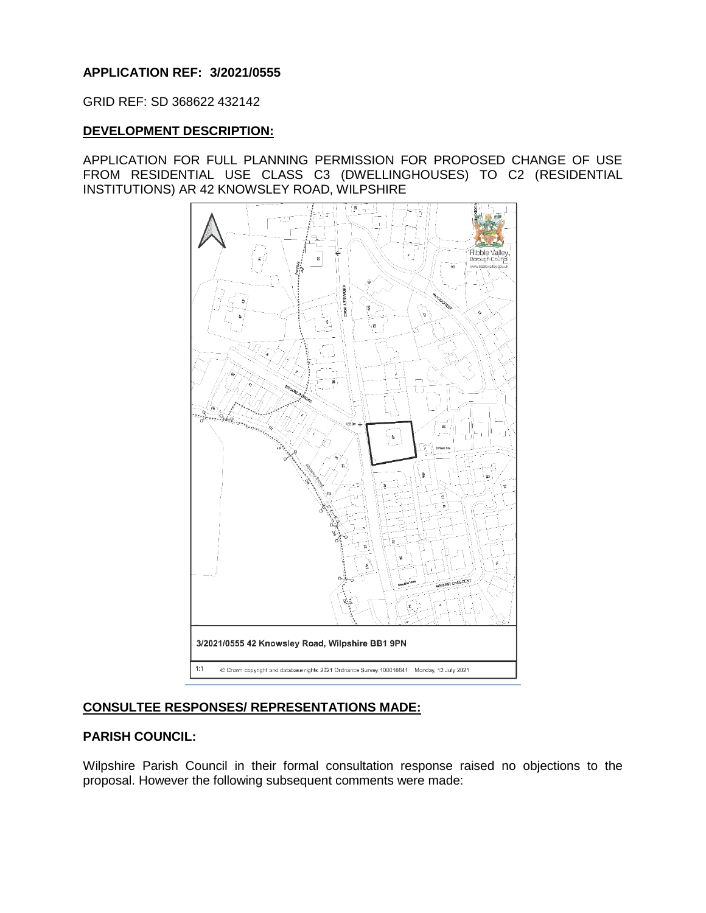## **APPLICATION REF: 3/2021/0555**

GRID REF: SD 368622 432142

### **DEVELOPMENT DESCRIPTION:**

APPLICATION FOR FULL PLANNING PERMISSION FOR PROPOSED CHANGE OF USE FROM RESIDENTIAL USE CLASS C3 (DWELLINGHOUSES) TO C2 (RESIDENTIAL INSTITUTIONS) AR 42 KNOWSLEY ROAD, WILPSHIRE



# **CONSULTEE RESPONSES/ REPRESENTATIONS MADE:**

#### **PARISH COUNCIL:**

Wilpshire Parish Council in their formal consultation response raised no objections to the proposal. However the following subsequent comments were made: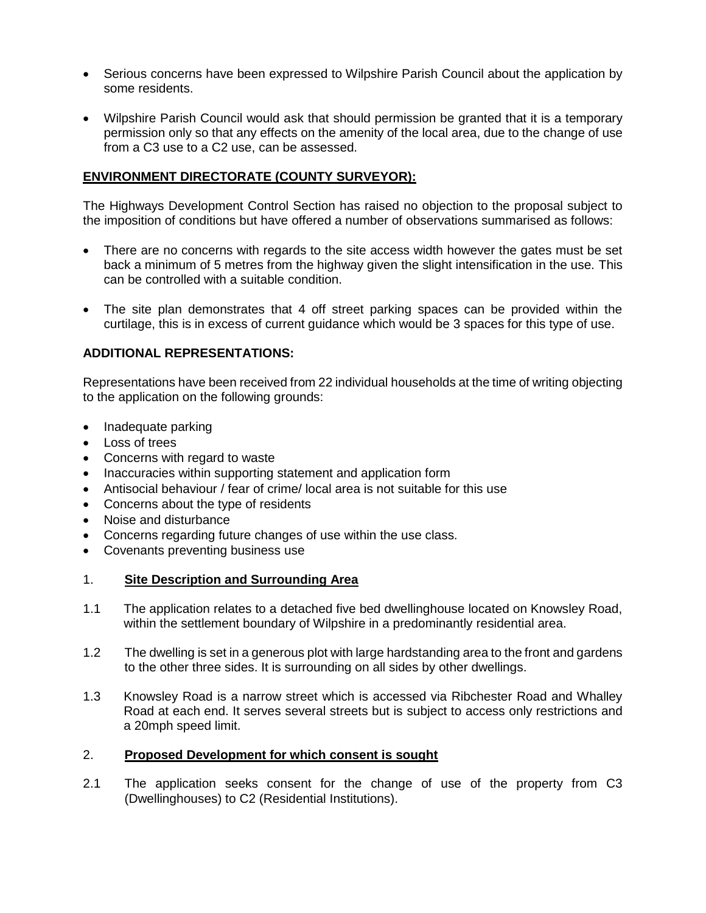- Serious concerns have been expressed to Wilpshire Parish Council about the application by some residents.
- Wilpshire Parish Council would ask that should permission be granted that it is a temporary permission only so that any effects on the amenity of the local area, due to the change of use from a C3 use to a C2 use, can be assessed.

## **ENVIRONMENT DIRECTORATE (COUNTY SURVEYOR):**

The Highways Development Control Section has raised no objection to the proposal subject to the imposition of conditions but have offered a number of observations summarised as follows:

- There are no concerns with regards to the site access width however the gates must be set back a minimum of 5 metres from the highway given the slight intensification in the use. This can be controlled with a suitable condition.
- The site plan demonstrates that 4 off street parking spaces can be provided within the curtilage, this is in excess of current guidance which would be 3 spaces for this type of use.

## **ADDITIONAL REPRESENTATIONS:**

Representations have been received from 22 individual households at the time of writing objecting to the application on the following grounds:

- Inadequate parking
- Loss of trees
- Concerns with regard to waste
- Inaccuracies within supporting statement and application form
- Antisocial behaviour / fear of crime/ local area is not suitable for this use
- Concerns about the type of residents
- Noise and disturbance
- Concerns regarding future changes of use within the use class.
- Covenants preventing business use

#### 1. **Site Description and Surrounding Area**

- 1.1 The application relates to a detached five bed dwellinghouse located on Knowsley Road, within the settlement boundary of Wilpshire in a predominantly residential area.
- 1.2 The dwelling is set in a generous plot with large hardstanding area to the front and gardens to the other three sides. It is surrounding on all sides by other dwellings.
- 1.3 Knowsley Road is a narrow street which is accessed via Ribchester Road and Whalley Road at each end. It serves several streets but is subject to access only restrictions and a 20mph speed limit.

### 2. **Proposed Development for which consent is sought**

2.1 The application seeks consent for the change of use of the property from C3 (Dwellinghouses) to C2 (Residential Institutions).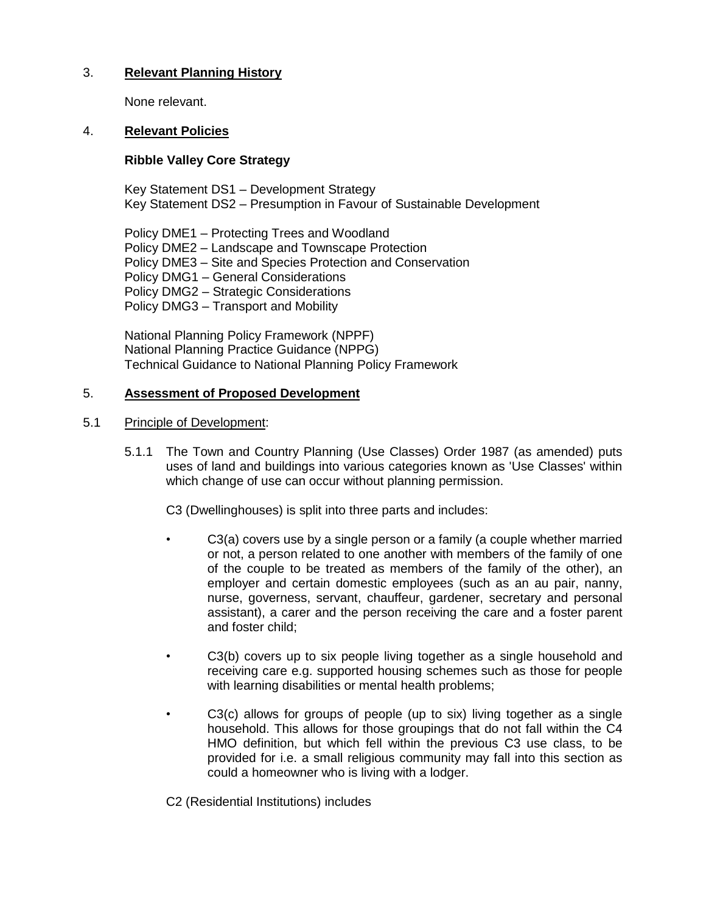## 3. **Relevant Planning History**

None relevant.

### 4. **Relevant Policies**

### **Ribble Valley Core Strategy**

Key Statement DS1 – Development Strategy Key Statement DS2 – Presumption in Favour of Sustainable Development

Policy DME1 – Protecting Trees and Woodland Policy DME2 – Landscape and Townscape Protection Policy DME3 – Site and Species Protection and Conservation Policy DMG1 – General Considerations Policy DMG2 – Strategic Considerations Policy DMG3 – Transport and Mobility

National Planning Policy Framework (NPPF) National Planning Practice Guidance (NPPG) Technical Guidance to National Planning Policy Framework

### 5. **Assessment of Proposed Development**

#### 5.1 Principle of Development:

5.1.1 The Town and Country Planning (Use Classes) Order 1987 (as amended) puts uses of land and buildings into various categories known as 'Use Classes' within which change of use can occur without planning permission.

C3 (Dwellinghouses) is split into three parts and includes:

- C3(a) covers use by a single person or a family (a couple whether married or not, a person related to one another with members of the family of one of the couple to be treated as members of the family of the other), an employer and certain domestic employees (such as an au pair, nanny, nurse, governess, servant, chauffeur, gardener, secretary and personal assistant), a carer and the person receiving the care and a foster parent and foster child;
- C3(b) covers up to six people living together as a single household and receiving care e.g. supported housing schemes such as those for people with learning disabilities or mental health problems;
- C3(c) allows for groups of people (up to six) living together as a single household. This allows for those groupings that do not fall within the C4 HMO definition, but which fell within the previous C3 use class, to be provided for i.e. a small religious community may fall into this section as could a homeowner who is living with a lodger.

C2 (Residential Institutions) includes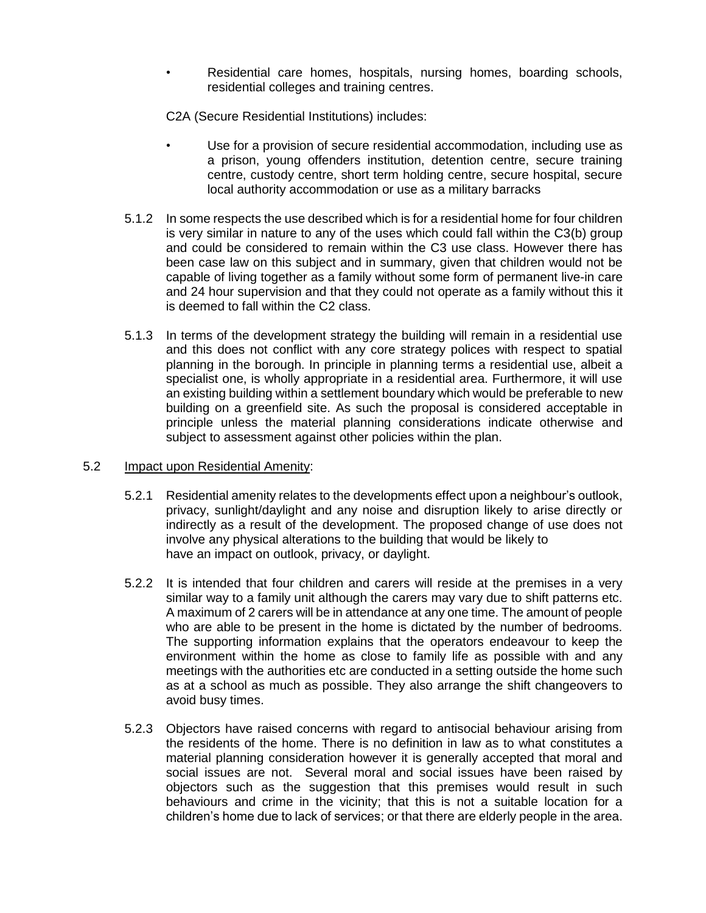Residential care homes, hospitals, nursing homes, boarding schools, residential colleges and training centres.

C2A (Secure Residential Institutions) includes:

- Use for a provision of secure residential accommodation, including use as a prison, young offenders institution, detention centre, secure training centre, custody centre, short term holding centre, secure hospital, secure local authority accommodation or use as a military barracks
- 5.1.2 In some respects the use described which is for a residential home for four children is very similar in nature to any of the uses which could fall within the C3(b) group and could be considered to remain within the C3 use class. However there has been case law on this subject and in summary, given that children would not be capable of living together as a family without some form of permanent live-in care and 24 hour supervision and that they could not operate as a family without this it is deemed to fall within the C2 class.
- 5.1.3 In terms of the development strategy the building will remain in a residential use and this does not conflict with any core strategy polices with respect to spatial planning in the borough. In principle in planning terms a residential use, albeit a specialist one, is wholly appropriate in a residential area. Furthermore, it will use an existing building within a settlement boundary which would be preferable to new building on a greenfield site. As such the proposal is considered acceptable in principle unless the material planning considerations indicate otherwise and subject to assessment against other policies within the plan.

#### 5.2 Impact upon Residential Amenity:

- 5.2.1 Residential amenity relates to the developments effect upon a neighbour's outlook, privacy, sunlight/daylight and any noise and disruption likely to arise directly or indirectly as a result of the development. The proposed change of use does not involve any physical alterations to the building that would be likely to have an impact on outlook, privacy, or daylight.
- 5.2.2 It is intended that four children and carers will reside at the premises in a very similar way to a family unit although the carers may vary due to shift patterns etc. A maximum of 2 carers will be in attendance at any one time. The amount of people who are able to be present in the home is dictated by the number of bedrooms. The supporting information explains that the operators endeavour to keep the environment within the home as close to family life as possible with and any meetings with the authorities etc are conducted in a setting outside the home such as at a school as much as possible. They also arrange the shift changeovers to avoid busy times.
- 5.2.3 Objectors have raised concerns with regard to antisocial behaviour arising from the residents of the home. There is no definition in law as to what constitutes a material planning consideration however it is generally accepted that moral and social issues are not. Several moral and social issues have been raised by objectors such as the suggestion that this premises would result in such behaviours and crime in the vicinity; that this is not a suitable location for a children's home due to lack of services; or that there are elderly people in the area.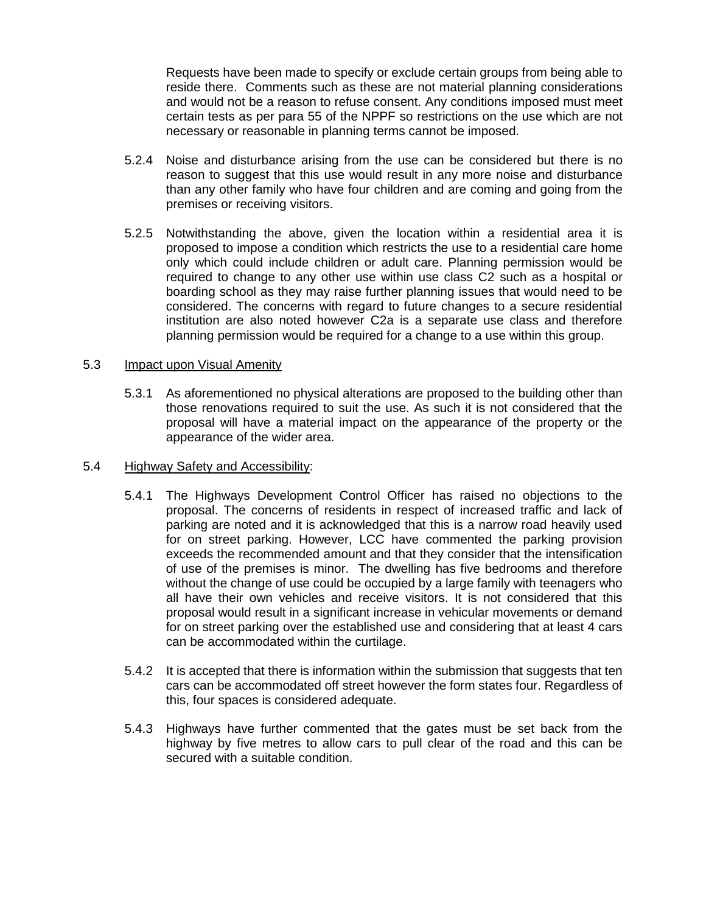Requests have been made to specify or exclude certain groups from being able to reside there. Comments such as these are not material planning considerations and would not be a reason to refuse consent. Any conditions imposed must meet certain tests as per para 55 of the NPPF so restrictions on the use which are not necessary or reasonable in planning terms cannot be imposed.

- 5.2.4 Noise and disturbance arising from the use can be considered but there is no reason to suggest that this use would result in any more noise and disturbance than any other family who have four children and are coming and going from the premises or receiving visitors.
- 5.2.5 Notwithstanding the above, given the location within a residential area it is proposed to impose a condition which restricts the use to a residential care home only which could include children or adult care. Planning permission would be required to change to any other use within use class C2 such as a hospital or boarding school as they may raise further planning issues that would need to be considered. The concerns with regard to future changes to a secure residential institution are also noted however C2a is a separate use class and therefore planning permission would be required for a change to a use within this group.

#### 5.3 Impact upon Visual Amenity

5.3.1 As aforementioned no physical alterations are proposed to the building other than those renovations required to suit the use. As such it is not considered that the proposal will have a material impact on the appearance of the property or the appearance of the wider area.

#### 5.4 Highway Safety and Accessibility:

- 5.4.1 The Highways Development Control Officer has raised no objections to the proposal. The concerns of residents in respect of increased traffic and lack of parking are noted and it is acknowledged that this is a narrow road heavily used for on street parking. However, LCC have commented the parking provision exceeds the recommended amount and that they consider that the intensification of use of the premises is minor. The dwelling has five bedrooms and therefore without the change of use could be occupied by a large family with teenagers who all have their own vehicles and receive visitors. It is not considered that this proposal would result in a significant increase in vehicular movements or demand for on street parking over the established use and considering that at least 4 cars can be accommodated within the curtilage.
- 5.4.2 It is accepted that there is information within the submission that suggests that ten cars can be accommodated off street however the form states four. Regardless of this, four spaces is considered adequate.
- 5.4.3 Highways have further commented that the gates must be set back from the highway by five metres to allow cars to pull clear of the road and this can be secured with a suitable condition.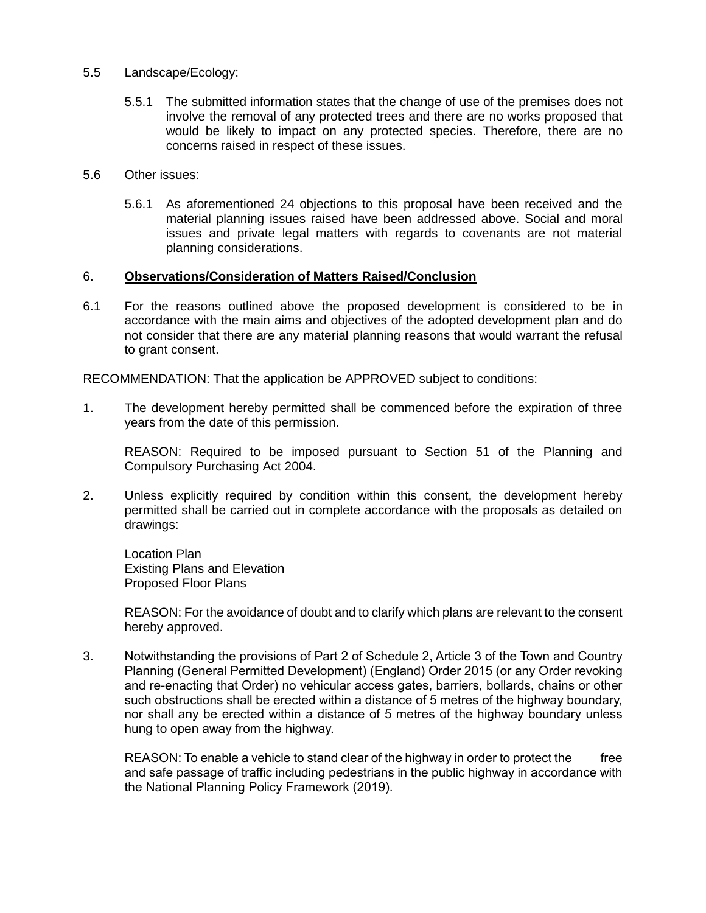### 5.5 Landscape/Ecology:

5.5.1 The submitted information states that the change of use of the premises does not involve the removal of any protected trees and there are no works proposed that would be likely to impact on any protected species. Therefore, there are no concerns raised in respect of these issues.

#### 5.6 Other issues:

5.6.1 As aforementioned 24 objections to this proposal have been received and the material planning issues raised have been addressed above. Social and moral issues and private legal matters with regards to covenants are not material planning considerations.

### 6. **Observations/Consideration of Matters Raised/Conclusion**

6.1 For the reasons outlined above the proposed development is considered to be in accordance with the main aims and objectives of the adopted development plan and do not consider that there are any material planning reasons that would warrant the refusal to grant consent.

RECOMMENDATION: That the application be APPROVED subject to conditions:

1. The development hereby permitted shall be commenced before the expiration of three years from the date of this permission.

REASON: Required to be imposed pursuant to Section 51 of the Planning and Compulsory Purchasing Act 2004.

2. Unless explicitly required by condition within this consent, the development hereby permitted shall be carried out in complete accordance with the proposals as detailed on drawings:

Location Plan Existing Plans and Elevation Proposed Floor Plans

REASON: For the avoidance of doubt and to clarify which plans are relevant to the consent hereby approved.

3. Notwithstanding the provisions of Part 2 of Schedule 2, Article 3 of the Town and Country Planning (General Permitted Development) (England) Order 2015 (or any Order revoking and re-enacting that Order) no vehicular access gates, barriers, bollards, chains or other such obstructions shall be erected within a distance of 5 metres of the highway boundary, nor shall any be erected within a distance of 5 metres of the highway boundary unless hung to open away from the highway.

REASON: To enable a vehicle to stand clear of the highway in order to protect the free and safe passage of traffic including pedestrians in the public highway in accordance with the National Planning Policy Framework (2019).